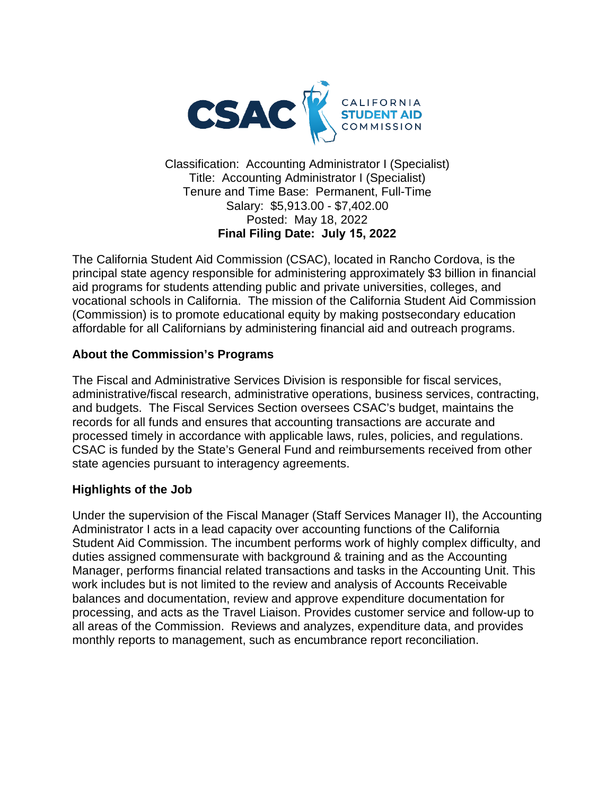

Classification: Accounting Administrator I (Specialist) Title: Accounting Administrator I (Specialist) Tenure and Time Base: Permanent, Full-Time Salary: \$5,913.00 - \$7,402.00 Posted: May 18, 2022 **Final Filing Date: July 15, 2022** 

The California Student Aid Commission (CSAC), located in Rancho Cordova, is the principal state agency responsible for administering approximately \$3 billion in financial aid programs for students attending public and private universities, colleges, and vocational schools in California. The mission of the California Student Aid Commission (Commission) is to promote educational equity by making postsecondary education affordable for all Californians by administering financial aid and outreach programs.

#### **About the Commission's Programs**

The Fiscal and Administrative Services Division is responsible for fiscal services, administrative/fiscal research, administrative operations, business services, contracting, and budgets. The Fiscal Services Section oversees CSAC's budget, maintains the records for all funds and ensures that accounting transactions are accurate and processed timely in accordance with applicable laws, rules, policies, and regulations. CSAC is funded by the State's General Fund and reimbursements received from other state agencies pursuant to interagency agreements.

#### **Highlights of the Job**

Under the supervision of the Fiscal Manager (Staff Services Manager II), the Accounting Administrator I acts in a lead capacity over accounting functions of the California Student Aid Commission. The incumbent performs work of highly complex difficulty, and duties assigned commensurate with background & training and as the Accounting Manager, performs financial related transactions and tasks in the Accounting Unit. This work includes but is not limited to the review and analysis of Accounts Receivable balances and documentation, review and approve expenditure documentation for processing, and acts as the Travel Liaison. Provides customer service and follow-up to all areas of the Commission. Reviews and analyzes, expenditure data, and provides monthly reports to management, such as encumbrance report reconciliation.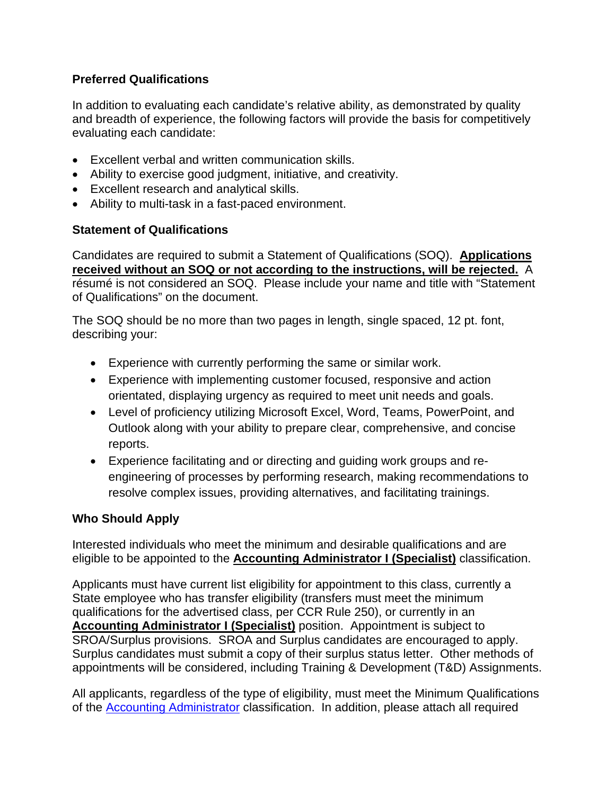# **Preferred Qualifications**

In addition to evaluating each candidate's relative ability, as demonstrated by quality and breadth of experience, the following factors will provide the basis for competitively evaluating each candidate:

- Excellent verbal and written communication skills.
- Ability to exercise good judgment, initiative, and creativity.
- Excellent research and analytical skills.
- Ability to multi-task in a fast-paced environment.

## **Statement of Qualifications**

Candidates are required to submit a Statement of Qualifications (SOQ). **Applications received without an SOQ or not according to the instructions, will be rejected.** A résumé is not considered an SOQ. Please include your name and title with "Statement of Qualifications" on the document.

The SOQ should be no more than two pages in length, single spaced, 12 pt. font, describing your:

- Experience with currently performing the same or similar work.
- Experience with implementing customer focused, responsive and action orientated, displaying urgency as required to meet unit needs and goals.
- Level of proficiency utilizing Microsoft Excel, Word, Teams, PowerPoint, and Outlook along with your ability to prepare clear, comprehensive, and concise reports.
- Experience facilitating and or directing and guiding work groups and reengineering of processes by performing research, making recommendations to resolve complex issues, providing alternatives, and facilitating trainings.

# **Who Should Apply**

Interested individuals who meet the minimum and desirable qualifications and are eligible to be appointed to the **Accounting Administrator I (Specialist)** classification.

Applicants must have current list eligibility for appointment to this class, currently a State employee who has transfer eligibility (transfers must meet the minimum qualifications for the advertised class, per CCR Rule 250), or currently in an **Accounting Administrator I (Specialist)** position. Appointment is subject to SROA/Surplus provisions. SROA and Surplus candidates are encouraged to apply. Surplus candidates must submit a copy of their surplus status letter. Other methods of appointments will be considered, including Training & Development (T&D) Assignments.

All applicants, regardless of the type of eligibility, must meet the Minimum Qualifications of the [Accounting Administrator](https://www.calhr.ca.gov/state-hr-professionals/Pages/4552.aspx) classification. In addition, please attach all required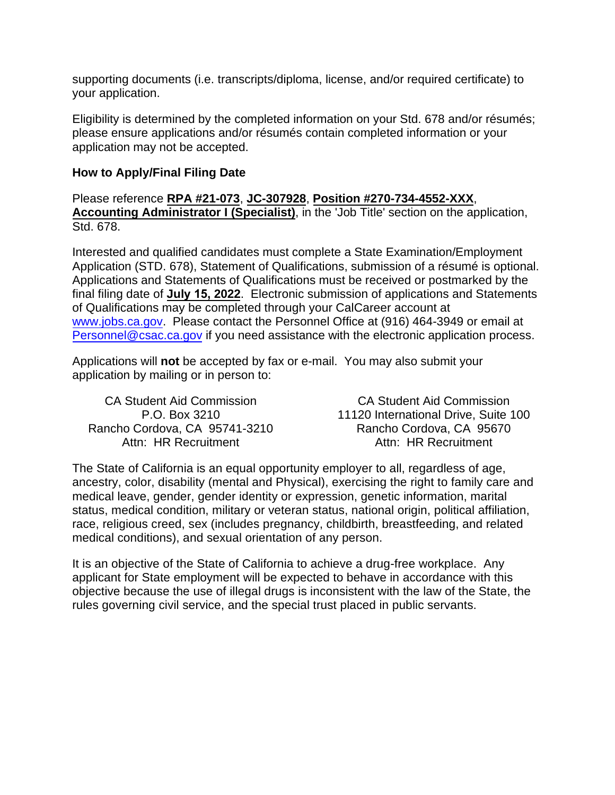supporting documents (i.e. transcripts/diploma, license, and/or required certificate) to your application.

Eligibility is determined by the completed information on your Std. 678 and/or résumés; please ensure applications and/or résumés contain completed information or your application may not be accepted.

### **How to Apply/Final Filing Date**

Please reference **RPA #21-073**, **JC-307928**, **Position #270-734-4552-XXX**, **Accounting Administrator I (Specialist)**, in the 'Job Title' section on the application, Std. 678.

Interested and qualified candidates must complete a State Examination/Employment Application (STD. 678), Statement of Qualifications, submission of a résumé is optional. Applications and Statements of Qualifications must be received or postmarked by the final filing date of **July 15, 2022**. Electronic submission of applications and Statements of Qualifications may be completed through your CalCareer account at [www.jobs.ca.gov.](http://www.jobs.ca.gov/) Please contact the Personnel Office at (916) 464-3949 or email at [Personnel@csac.ca.gov](mailto:Personnel@csac.ca.gov) if you need assistance with the electronic application process.

Applications will **not** be accepted by fax or e-mail. You may also submit your application by mailing or in person to:

CA Student Aid Commission P.O. Box 3210 Rancho Cordova, CA 95741-3210 Attn: HR Recruitment

CA Student Aid Commission 11120 International Drive, Suite 100 Rancho Cordova, CA 95670 Attn: HR Recruitment

The State of California is an equal opportunity employer to all, regardless of age, ancestry, color, disability (mental and Physical), exercising the right to family care and medical leave, gender, gender identity or expression, genetic information, marital status, medical condition, military or veteran status, national origin, political affiliation, race, religious creed, sex (includes pregnancy, childbirth, breastfeeding, and related medical conditions), and sexual orientation of any person.

It is an objective of the State of California to achieve a drug-free workplace. Any applicant for State employment will be expected to behave in accordance with this objective because the use of illegal drugs is inconsistent with the law of the State, the rules governing civil service, and the special trust placed in public servants.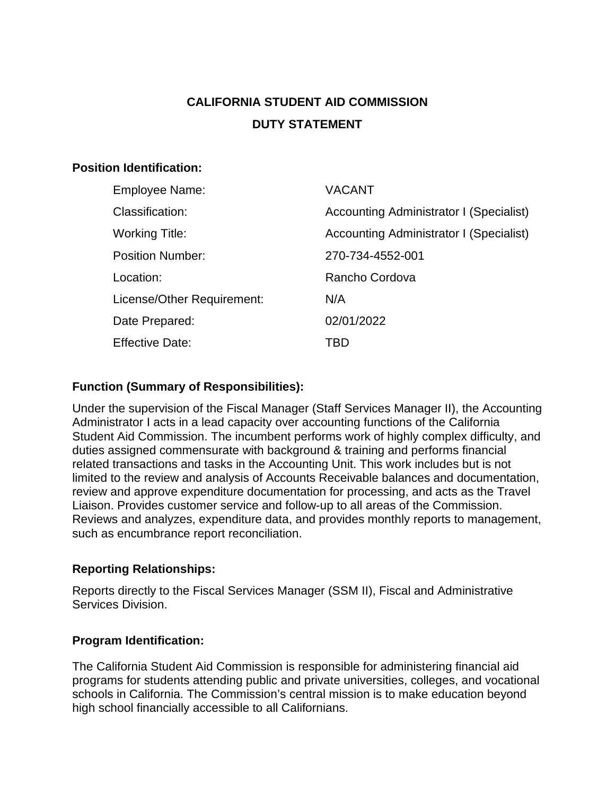# **CALIFORNIA STUDENT AID COMMISSION DUTY STATEMENT**

### **Position Identification:**

| Employee Name:             | <b>VACANT</b>                           |
|----------------------------|-----------------------------------------|
| Classification:            | Accounting Administrator I (Specialist) |
| <b>Working Title:</b>      | Accounting Administrator I (Specialist) |
| <b>Position Number:</b>    | 270-734-4552-001                        |
| Location:                  | Rancho Cordova                          |
| License/Other Requirement: | N/A                                     |
| Date Prepared:             | 02/01/2022                              |
| <b>Effective Date:</b>     | TBD                                     |

# **Function (Summary of Responsibilities):**

Under the supervision of the Fiscal Manager (Staff Services Manager II), the Accounting Administrator I acts in a lead capacity over accounting functions of the California Student Aid Commission. The incumbent performs work of highly complex difficulty, and duties assigned commensurate with background & training and performs financial related transactions and tasks in the Accounting Unit. This work includes but is not limited to the review and analysis of Accounts Receivable balances and documentation, review and approve expenditure documentation for processing, and acts as the Travel Liaison. Provides customer service and follow-up to all areas of the Commission. Reviews and analyzes, expenditure data, and provides monthly reports to management, such as encumbrance report reconciliation.

#### **Reporting Relationships:**

Reports directly to the Fiscal Services Manager (SSM II), Fiscal and Administrative Services Division.

#### **Program Identification:**

The California Student Aid Commission is responsible for administering financial aid programs for students attending public and private universities, colleges, and vocational schools in California. The Commission's central mission is to make education beyond high school financially accessible to all Californians.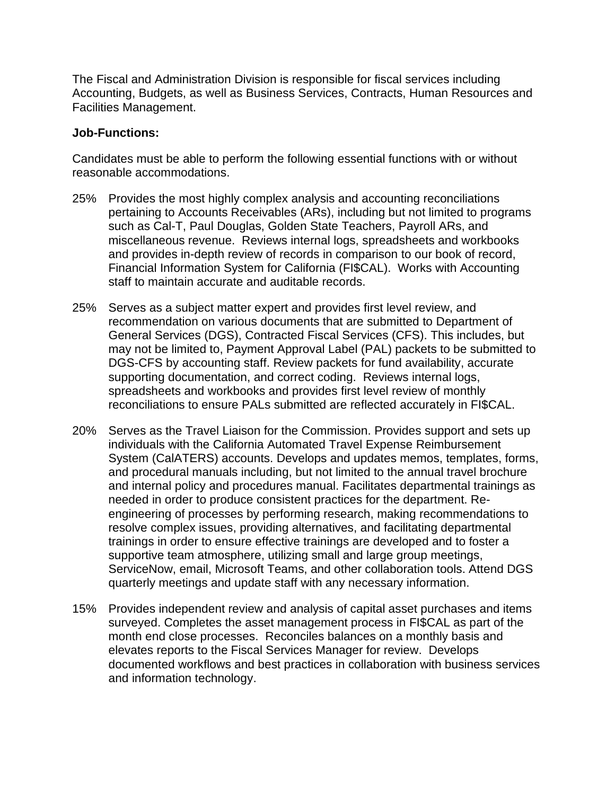The Fiscal and Administration Division is responsible for fiscal services including Accounting, Budgets, as well as Business Services, Contracts, Human Resources and Facilities Management.

#### **Job-Functions:**

Candidates must be able to perform the following essential functions with or without reasonable accommodations.

- 25% Provides the most highly complex analysis and accounting reconciliations pertaining to Accounts Receivables (ARs), including but not limited to programs such as Cal-T, Paul Douglas, Golden State Teachers, Payroll ARs, and miscellaneous revenue. Reviews internal logs, spreadsheets and workbooks and provides in-depth review of records in comparison to our book of record, Financial Information System for California (FI\$CAL). Works with Accounting staff to maintain accurate and auditable records.
- 25% Serves as a subject matter expert and provides first level review, and recommendation on various documents that are submitted to Department of General Services (DGS), Contracted Fiscal Services (CFS). This includes, but may not be limited to, Payment Approval Label (PAL) packets to be submitted to DGS-CFS by accounting staff. Review packets for fund availability, accurate supporting documentation, and correct coding. Reviews internal logs, spreadsheets and workbooks and provides first level review of monthly reconciliations to ensure PALs submitted are reflected accurately in FI\$CAL.
- 20% Serves as the Travel Liaison for the Commission. Provides support and sets up individuals with the California Automated Travel Expense Reimbursement System (CalATERS) accounts. Develops and updates memos, templates, forms, and procedural manuals including, but not limited to the annual travel brochure and internal policy and procedures manual. Facilitates departmental trainings as needed in order to produce consistent practices for the department. Reengineering of processes by performing research, making recommendations to resolve complex issues, providing alternatives, and facilitating departmental trainings in order to ensure effective trainings are developed and to foster a supportive team atmosphere, utilizing small and large group meetings, ServiceNow, email, Microsoft Teams, and other collaboration tools. Attend DGS quarterly meetings and update staff with any necessary information.
- 15% Provides independent review and analysis of capital asset purchases and items surveyed. Completes the asset management process in FI\$CAL as part of the month end close processes. Reconciles balances on a monthly basis and elevates reports to the Fiscal Services Manager for review. Develops documented workflows and best practices in collaboration with business services and information technology.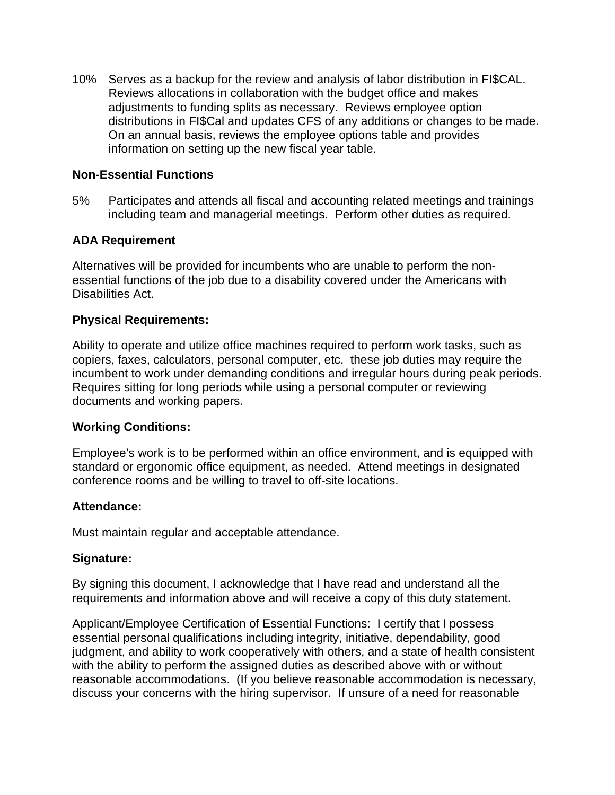10% Serves as a backup for the review and analysis of labor distribution in FI\$CAL. Reviews allocations in collaboration with the budget office and makes adjustments to funding splits as necessary. Reviews employee option distributions in FI\$Cal and updates CFS of any additions or changes to be made. On an annual basis, reviews the employee options table and provides information on setting up the new fiscal year table.

#### **Non-Essential Functions**

5% Participates and attends all fiscal and accounting related meetings and trainings including team and managerial meetings. Perform other duties as required.

#### **ADA Requirement**

Alternatives will be provided for incumbents who are unable to perform the nonessential functions of the job due to a disability covered under the Americans with Disabilities Act.

#### **Physical Requirements:**

Ability to operate and utilize office machines required to perform work tasks, such as copiers, faxes, calculators, personal computer, etc. these job duties may require the incumbent to work under demanding conditions and irregular hours during peak periods. Requires sitting for long periods while using a personal computer or reviewing documents and working papers.

#### **Working Conditions:**

Employee's work is to be performed within an office environment, and is equipped with standard or ergonomic office equipment, as needed. Attend meetings in designated conference rooms and be willing to travel to off-site locations.

#### **Attendance:**

Must maintain regular and acceptable attendance.

#### **Signature:**

By signing this document, I acknowledge that I have read and understand all the requirements and information above and will receive a copy of this duty statement.

Applicant/Employee Certification of Essential Functions: I certify that I possess essential personal qualifications including integrity, initiative, dependability, good judgment, and ability to work cooperatively with others, and a state of health consistent with the ability to perform the assigned duties as described above with or without reasonable accommodations. (If you believe reasonable accommodation is necessary, discuss your concerns with the hiring supervisor. If unsure of a need for reasonable